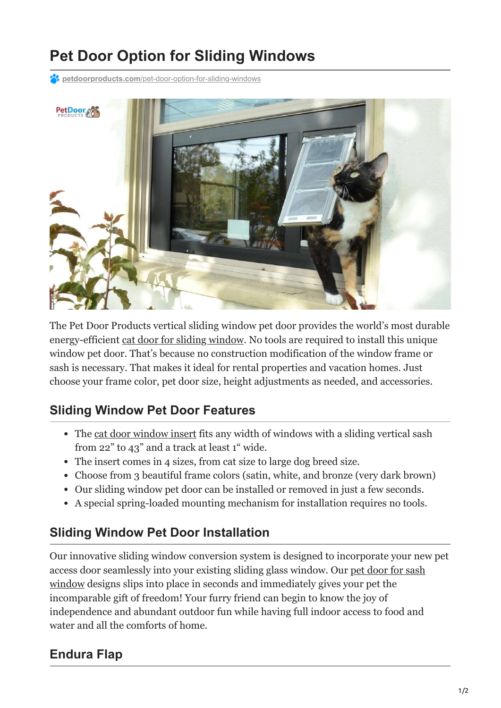# **Pet Door Option for Sliding Windows**

**PC** petdoorproducts.com[/pet-door-option-for-sliding-windows](https://petdoorproducts.com/pet-door-option-for-sliding-windows/)



The Pet Door Products vertical sliding window pet door provides the world's most durable energy-efficient [cat door for sliding window.](https://petdoorproducts.com/product/pet-door-for-sash-windows/) No tools are required to install this unique window pet door. That's because no construction modification of the window frame or sash is necessary. That makes it ideal for rental properties and vacation homes. Just choose your frame color, pet door size, height adjustments as needed, and accessories.

# **Sliding Window Pet Door Features**

- The [cat door window insert](https://petdoorproducts.com/do-it-yourself/) fits any width of windows with a sliding vertical sash from 22" to 43" and a track at least 1" wide.
- The insert comes in 4 sizes, from cat size to large dog breed size.
- Choose from 3 beautiful frame colors (satin, white, and bronze (very dark brown)
- Our sliding window pet door can be installed or removed in just a few seconds.
- A special spring-loaded mounting mechanism for installation requires no tools.

# **Sliding Window Pet Door Installation**

Our innovative sliding window conversion system is designed to incorporate your new pet [access door seamlessly into your existing sliding glass window. Our pet door for sash](https://petdoorproducts.com/professional-pet-door-installer-in-utah/) window designs slips into place in seconds and immediately gives your pet the incomparable gift of freedom! Your furry friend can begin to know the joy of independence and abundant outdoor fun while having full indoor access to food and water and all the comforts of home.

# **Endura Flap**